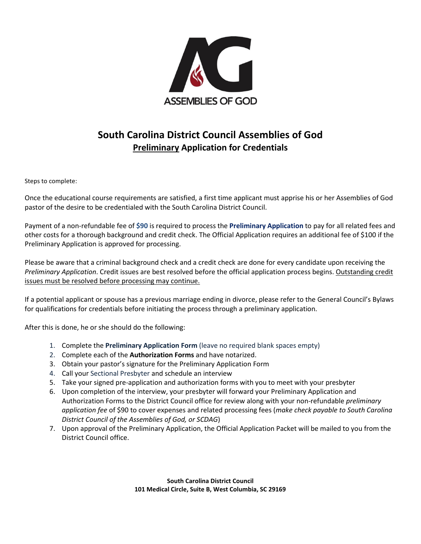

### **South Carolina District Council Assemblies of God Preliminary Application for Credentials**

Steps to complete:

Once the educational course requirements are satisfied, a first time applicant must apprise his or her Assemblies of God pastor of the desire to be credentialed with the South Carolina District Council.

Payment of a non-refundable fee of **\$90** is required to process the **Preliminary Application** to pay for all related fees and other costs for a thorough background and credit check. The Official Application requires an additional fee of \$100 if the Preliminary Application is approved for processing.

Please be aware that a criminal background check and a credit check are done for every candidate upon receiving the *Preliminary Application*. Credit issues are best resolved before the official application process begins. Outstanding credit issues must be resolved before processing may continue.

If a potential applicant or spouse has a previous marriage ending in divorce, please refer to the General Council's Bylaws for qualifications for credentials before initiating the process through a preliminary application.

After this is done, he or she should do the following:

- 1. Complete the **Preliminary Application Form** (leave no required blank spaces empty)
- 2. Complete each of the **Authorization Forms** and have notarized.
- 3. Obtain your pastor's signature for the Preliminary Application Form
- 4. Call your Sectional Presbyter and schedule an interview
- 5. Take your signed pre-application and authorization forms with you to meet with your presbyter
- 6. Upon completion of the interview, your presbyter will forward your Preliminary Application and Authorization Forms to the District Council office for review along with your non-refundable *preliminary application fee* of \$90 to cover expenses and related processing fees (*make check payable to South Carolina District Council of the Assemblies of God, or SCDAG*)
- 7. Upon approval of the Preliminary Application, the Official Application Packet will be mailed to you from the District Council office.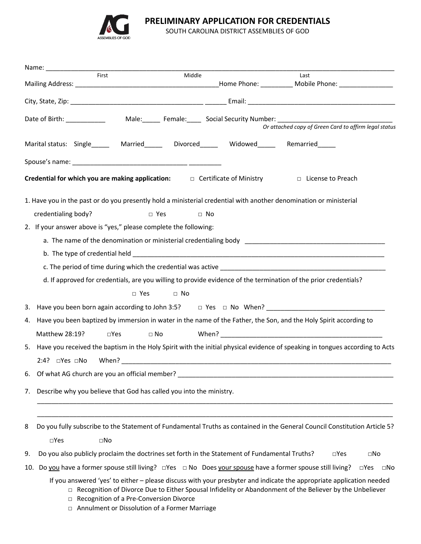

**PRELIMINARY APPLICATION FOR CREDENTIALS**

SOUTH CAROLINA DISTRICT ASSEMBLIES OF GOD

|                                                                                                                         |                                                                     | First                                         | Middle                                                           |                                                                                               | Last                                                                                                                                                                                                                               |  |
|-------------------------------------------------------------------------------------------------------------------------|---------------------------------------------------------------------|-----------------------------------------------|------------------------------------------------------------------|-----------------------------------------------------------------------------------------------|------------------------------------------------------------------------------------------------------------------------------------------------------------------------------------------------------------------------------------|--|
|                                                                                                                         |                                                                     |                                               |                                                                  |                                                                                               |                                                                                                                                                                                                                                    |  |
|                                                                                                                         | Date of Birth: ___________                                          |                                               |                                                                  |                                                                                               | Male:________ Female:_______ Social Security Number: ___________________________<br>Or attached copy of Green Card to affirm legal status                                                                                          |  |
|                                                                                                                         |                                                                     |                                               |                                                                  |                                                                                               | Marital status: Single______ Married______ Divorced_____ Widowed_____ Remarried_____                                                                                                                                               |  |
|                                                                                                                         |                                                                     |                                               |                                                                  |                                                                                               |                                                                                                                                                                                                                                    |  |
|                                                                                                                         |                                                                     |                                               |                                                                  |                                                                                               | Credential for which you are making application: $\Box$ Certificate of Ministry $\Box$ License to Preach                                                                                                                           |  |
|                                                                                                                         |                                                                     |                                               |                                                                  |                                                                                               |                                                                                                                                                                                                                                    |  |
|                                                                                                                         |                                                                     |                                               |                                                                  |                                                                                               | 1. Have you in the past or do you presently hold a ministerial credential with another denomination or ministerial                                                                                                                 |  |
|                                                                                                                         | credentialing body?                                                 |                                               | $\Box$ Yes                                                       | $\Box$ No                                                                                     |                                                                                                                                                                                                                                    |  |
|                                                                                                                         |                                                                     |                                               | 2. If your answer above is "yes," please complete the following: |                                                                                               |                                                                                                                                                                                                                                    |  |
|                                                                                                                         |                                                                     |                                               |                                                                  |                                                                                               |                                                                                                                                                                                                                                    |  |
|                                                                                                                         |                                                                     |                                               |                                                                  |                                                                                               |                                                                                                                                                                                                                                    |  |
|                                                                                                                         |                                                                     |                                               |                                                                  |                                                                                               |                                                                                                                                                                                                                                    |  |
|                                                                                                                         |                                                                     |                                               |                                                                  |                                                                                               | d. If approved for credentials, are you willing to provide evidence of the termination of the prior credentials?                                                                                                                   |  |
|                                                                                                                         |                                                                     | $\Box$ Yes                                    | $\Box$ No                                                        |                                                                                               |                                                                                                                                                                                                                                    |  |
| 3.                                                                                                                      |                                                                     |                                               |                                                                  |                                                                                               | Have you been born again according to John 3:5? $\Box$ Yes $\Box$ No When?                                                                                                                                                         |  |
| Have you been baptized by immersion in water in the name of the Father, the Son, and the Holy Spirit according to<br>4. |                                                                     |                                               |                                                                  |                                                                                               |                                                                                                                                                                                                                                    |  |
|                                                                                                                         | Matthew 28:19?                                                      | $\square$ Yes                                 | $\square$ No                                                     |                                                                                               | When? When a state of the contract of the contract of the contract of the contract of the contract of the contract of the contract of the contract of the contract of the contract of the contract of the contract of the cont     |  |
|                                                                                                                         |                                                                     |                                               |                                                                  |                                                                                               | 5. Have you received the baptism in the Holy Spirit with the initial physical evidence of speaking in tongues according to Acts                                                                                                    |  |
|                                                                                                                         |                                                                     |                                               |                                                                  | $2:4?$ $\Box$ Yes $\Box$ No When?                                                             |                                                                                                                                                                                                                                    |  |
| 6.                                                                                                                      |                                                                     | Of what AG church are you an official member? |                                                                  |                                                                                               |                                                                                                                                                                                                                                    |  |
|                                                                                                                         |                                                                     |                                               |                                                                  |                                                                                               |                                                                                                                                                                                                                                    |  |
| 7.                                                                                                                      | Describe why you believe that God has called you into the ministry. |                                               |                                                                  |                                                                                               |                                                                                                                                                                                                                                    |  |
|                                                                                                                         |                                                                     |                                               |                                                                  |                                                                                               |                                                                                                                                                                                                                                    |  |
| 8                                                                                                                       |                                                                     |                                               |                                                                  |                                                                                               | Do you fully subscribe to the Statement of Fundamental Truths as contained in the General Council Constitution Article 5?                                                                                                          |  |
|                                                                                                                         | $\square$ Yes                                                       | $\square$ No                                  |                                                                  |                                                                                               |                                                                                                                                                                                                                                    |  |
| 9.                                                                                                                      |                                                                     |                                               |                                                                  | Do you also publicly proclaim the doctrines set forth in the Statement of Fundamental Truths? | $\square$ Yes<br>$\square$ No                                                                                                                                                                                                      |  |
| 10.                                                                                                                     |                                                                     |                                               |                                                                  |                                                                                               | Do you have a former spouse still living? $\Box$ Yes $\Box$ No Does your spouse have a former spouse still living?<br>$\square$ Yes<br>$\square$ No                                                                                |  |
|                                                                                                                         | $\Box$                                                              | Recognition of a Pre-Conversion Divorce       | □ Annulment or Dissolution of a Former Marriage                  |                                                                                               | If you answered 'yes' to either - please discuss with your presbyter and indicate the appropriate application needed<br>□ Recognition of Divorce Due to Either Spousal Infidelity or Abandonment of the Believer by the Unbeliever |  |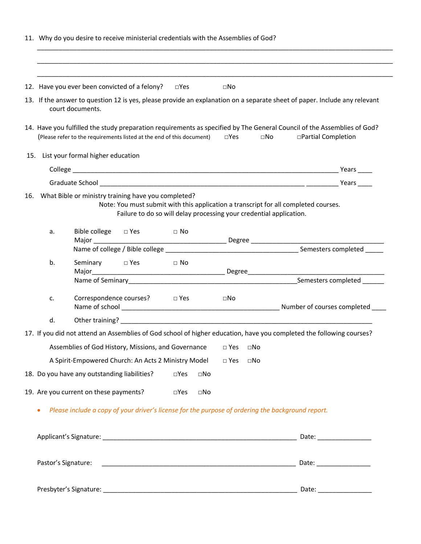|     | 11. Why do you desire to receive ministerial credentials with the Assemblies of God?              |                                                                                                                                                                                                                   |                              |               |                                                                                                     |              |                                                                                                                                                |  |
|-----|---------------------------------------------------------------------------------------------------|-------------------------------------------------------------------------------------------------------------------------------------------------------------------------------------------------------------------|------------------------------|---------------|-----------------------------------------------------------------------------------------------------|--------------|------------------------------------------------------------------------------------------------------------------------------------------------|--|
|     |                                                                                                   | 12. Have you ever been convicted of a felony? $\square$ Yes                                                                                                                                                       |                              |               | $\square$ No                                                                                        |              |                                                                                                                                                |  |
|     |                                                                                                   | court documents.                                                                                                                                                                                                  |                              |               |                                                                                                     |              | 13. If the answer to question 12 is yes, please provide an explanation on a separate sheet of paper. Include any relevant                      |  |
|     |                                                                                                   | (Please refer to the requirements listed at the end of this document)                                                                                                                                             |                              |               | $\square$ Yes                                                                                       | $\square$ No | 14. Have you fulfilled the study preparation requirements as specified by The General Council of the Assemblies of God?<br>□Partial Completion |  |
|     | 15. List your formal higher education                                                             |                                                                                                                                                                                                                   |                              |               |                                                                                                     |              |                                                                                                                                                |  |
|     |                                                                                                   |                                                                                                                                                                                                                   | _ Years _____                |               |                                                                                                     |              |                                                                                                                                                |  |
|     |                                                                                                   |                                                                                                                                                                                                                   |                              |               |                                                                                                     |              |                                                                                                                                                |  |
| 16. |                                                                                                   | What Bible or ministry training have you completed?<br>Note: You must submit with this application a transcript for all completed courses.<br>Failure to do so will delay processing your credential application. |                              |               |                                                                                                     |              |                                                                                                                                                |  |
|     | a.                                                                                                |                                                                                                                                                                                                                   | Bible college □ Yes □ No     |               |                                                                                                     |              |                                                                                                                                                |  |
|     |                                                                                                   |                                                                                                                                                                                                                   |                              |               |                                                                                                     |              |                                                                                                                                                |  |
|     | b.                                                                                                |                                                                                                                                                                                                                   |                              |               |                                                                                                     |              |                                                                                                                                                |  |
|     |                                                                                                   |                                                                                                                                                                                                                   |                              |               |                                                                                                     |              |                                                                                                                                                |  |
|     | c.                                                                                                |                                                                                                                                                                                                                   | Correspondence courses? Dies |               | and a set of the set of the set of the set of the set of the set of the set of the set of the set o |              |                                                                                                                                                |  |
|     | d.                                                                                                |                                                                                                                                                                                                                   |                              |               |                                                                                                     |              |                                                                                                                                                |  |
|     |                                                                                                   | 17. If you did not attend an Assemblies of God school of higher education, have you completed the following courses?                                                                                              |                              |               |                                                                                                     |              |                                                                                                                                                |  |
|     |                                                                                                   | Assemblies of God History, Missions, and Governance                                                                                                                                                               |                              |               | $\square$ Yes                                                                                       | $\square$ No |                                                                                                                                                |  |
|     |                                                                                                   | A Spirit-Empowered Church: An Acts 2 Ministry Model                                                                                                                                                               |                              |               | $\square$ Yes                                                                                       | $\square$ No |                                                                                                                                                |  |
|     |                                                                                                   | 18. Do you have any outstanding liabilities?                                                                                                                                                                      |                              | $\square$ Yes | $\square$ No                                                                                        |              |                                                                                                                                                |  |
|     |                                                                                                   | 19. Are you current on these payments?                                                                                                                                                                            |                              | $\square$ Yes | $\square$ No                                                                                        |              |                                                                                                                                                |  |
|     | Please include a copy of your driver's license for the purpose of ordering the background report. |                                                                                                                                                                                                                   |                              |               |                                                                                                     |              |                                                                                                                                                |  |
|     |                                                                                                   |                                                                                                                                                                                                                   |                              |               |                                                                                                     |              |                                                                                                                                                |  |
|     | Pastor's Signature:                                                                               |                                                                                                                                                                                                                   |                              |               |                                                                                                     |              |                                                                                                                                                |  |
|     |                                                                                                   |                                                                                                                                                                                                                   |                              |               |                                                                                                     |              |                                                                                                                                                |  |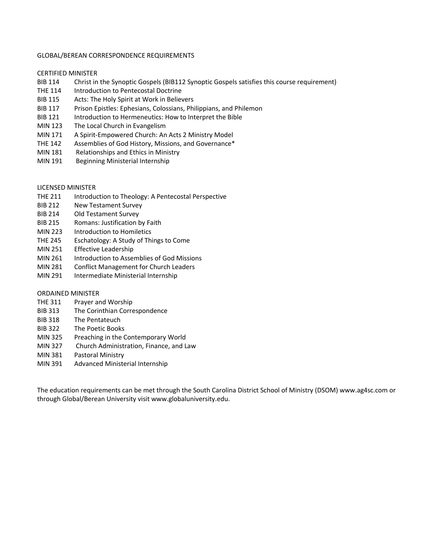#### GLOBAL/BEREAN CORRESPONDENCE REQUIREMENTS

#### CERTIFIED MINISTER

- BIB 114 Christ in the Synoptic Gospels (BIB112 Synoptic Gospels satisfies this course requirement)
- THE 114 Introduction to Pentecostal Doctrine
- BIB 115 Acts: The Holy Spirit at Work in Believers
- BIB 117 Prison Epistles: Ephesians, Colossians, Philippians, and Philemon
- BIB 121 Introduction to Hermeneutics: How to Interpret the Bible
- MIN 123 The Local Church in Evangelism
- MIN 171 A Spirit-Empowered Church: An Acts 2 Ministry Model
- THE 142 Assemblies of God History, Missions, and Governance\*
- MIN 181 Relationships and Ethics in Ministry
- MIN 191 Beginning Ministerial Internship

#### LICENSED MINISTER

- THE 211 Introduction to Theology: A Pentecostal Perspective
- BIB 212 New Testament Survey
- BIB 214 Old Testament Survey
- BIB 215 Romans: Justification by Faith
- MIN 223 Introduction to Homiletics
- THE 245 Eschatology: A Study of Things to Come
- MIN 251 Effective Leadership
- MIN 261 Introduction to Assemblies of God Missions
- MIN 281 Conflict Management for Church Leaders
- MIN 291 Intermediate Ministerial Internship

#### ORDAINED MINISTER

- THE 311 Prayer and Worship
- BIB 313 The Corinthian Correspondence
- BIB 318 The Pentateuch
- BIB 322 The Poetic Books
- MIN 325 Preaching in the Contemporary World
- MIN 327 Church Administration, Finance, and Law
- MIN 381 Pastoral Ministry
- MIN 391 Advanced Ministerial Internship

The education requirements can be met through the South Carolina District School of Ministry (DSOM) www.ag4sc.com or through Global/Berean University visit www.globaluniversity.edu.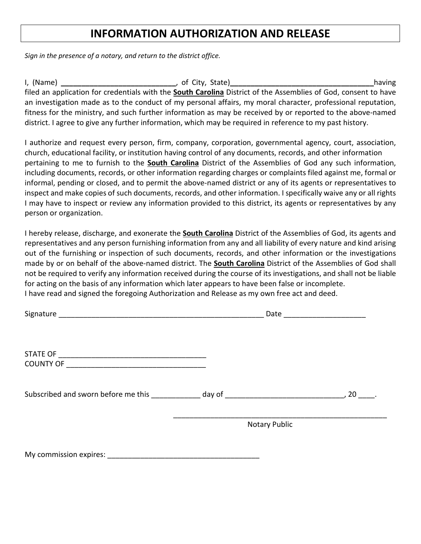## **INFORMATION AUTHORIZATION AND RELEASE**

*Sign in the presence of a notary, and return to the district office.*

I, (Name) **\_\_\_\_\_\_\_\_\_\_\_\_\_\_\_\_\_\_\_\_\_\_\_\_\_\_\_\_**, of City, State)**\_\_\_\_\_\_\_\_\_\_\_\_\_\_\_\_\_\_\_\_\_\_\_\_\_\_\_\_\_\_\_\_\_\_\_**having filed an application for credentials with the **South Carolina** District of the Assemblies of God, consent to have an investigation made as to the conduct of my personal affairs, my moral character, professional reputation, fitness for the ministry, and such further information as may be received by or reported to the above-named district. I agree to give any further information, which may be required in reference to my past history.

I authorize and request every person, firm, company, corporation, governmental agency, court, association, church, educational facility, or institution having control of any documents, records, and other information pertaining to me to furnish to the **South Carolina** District of the Assemblies of God any such information, including documents, records, or other information regarding charges or complaints filed against me, formal or informal, pending or closed, and to permit the above-named district or any of its agents or representatives to inspect and make copies of such documents, records, and other information. I specifically waive any or all rights I may have to inspect or review any information provided to this district, its agents or representatives by any person or organization.

I hereby release, discharge, and exonerate the **South Carolina** District of the Assemblies of God, its agents and representatives and any person furnishing information from any and all liability of every nature and kind arising out of the furnishing or inspection of such documents, records, and other information or the investigations made by or on behalf of the above-named district. The **South Carolina** District of the Assemblies of God shall not be required to verify any information received during the course of its investigations, and shall not be liable for acting on the basis of any information which later appears to have been false or incomplete. I have read and signed the foregoing Authorization and Release as my own free act and deed.

|                                                                                  | Date<br><u> 1989 - Johann Stein, mars et al. 1989 - Anna ann an t-</u> |      |  |  |
|----------------------------------------------------------------------------------|------------------------------------------------------------------------|------|--|--|
|                                                                                  |                                                                        |      |  |  |
|                                                                                  |                                                                        |      |  |  |
|                                                                                  |                                                                        |      |  |  |
| Subscribed and sworn before me this ____________ day of ________________________ |                                                                        | , 20 |  |  |
|                                                                                  | <b>Notary Public</b>                                                   |      |  |  |
| Mussemented an avainser                                                          |                                                                        |      |  |  |

My commission expires:  $\Box$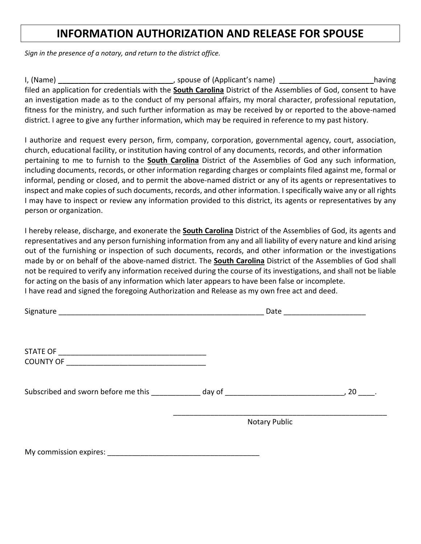## **INFORMATION AUTHORIZATION AND RELEASE FOR SPOUSE**

*Sign in the presence of a notary, and return to the district office.*

I, (Name) **\_\_\_\_\_\_\_\_\_\_\_\_\_\_\_\_\_\_\_\_\_\_\_\_\_\_\_\_**, spouse of (Applicant's name) **\_\_\_\_\_\_\_\_\_\_\_\_\_\_\_\_\_\_\_\_\_\_\_**having filed an application for credentials with the **South Carolina** District of the Assemblies of God, consent to have an investigation made as to the conduct of my personal affairs, my moral character, professional reputation, fitness for the ministry, and such further information as may be received by or reported to the above-named district. I agree to give any further information, which may be required in reference to my past history.

I authorize and request every person, firm, company, corporation, governmental agency, court, association, church, educational facility, or institution having control of any documents, records, and other information pertaining to me to furnish to the **South Carolina** District of the Assemblies of God any such information, including documents, records, or other information regarding charges or complaints filed against me, formal or informal, pending or closed, and to permit the above-named district or any of its agents or representatives to inspect and make copies of such documents, records, and other information. I specifically waive any or all rights I may have to inspect or review any information provided to this district, its agents or representatives by any person or organization.

I hereby release, discharge, and exonerate the **South Carolina** District of the Assemblies of God, its agents and representatives and any person furnishing information from any and all liability of every nature and kind arising out of the furnishing or inspection of such documents, records, and other information or the investigations made by or on behalf of the above-named district. The **South Carolina** District of the Assemblies of God shall not be required to verify any information received during the course of its investigations, and shall not be liable for acting on the basis of any information which later appears to have been false or incomplete. I have read and signed the foregoing Authorization and Release as my own free act and deed.

|                                                                                  | Date _____________________ |      |  |  |
|----------------------------------------------------------------------------------|----------------------------|------|--|--|
|                                                                                  |                            |      |  |  |
| Subscribed and sworn before me this _____________ day of _______________________ |                            | , 20 |  |  |
|                                                                                  | <b>Notary Public</b>       |      |  |  |
| My commission expires:                                                           |                            |      |  |  |